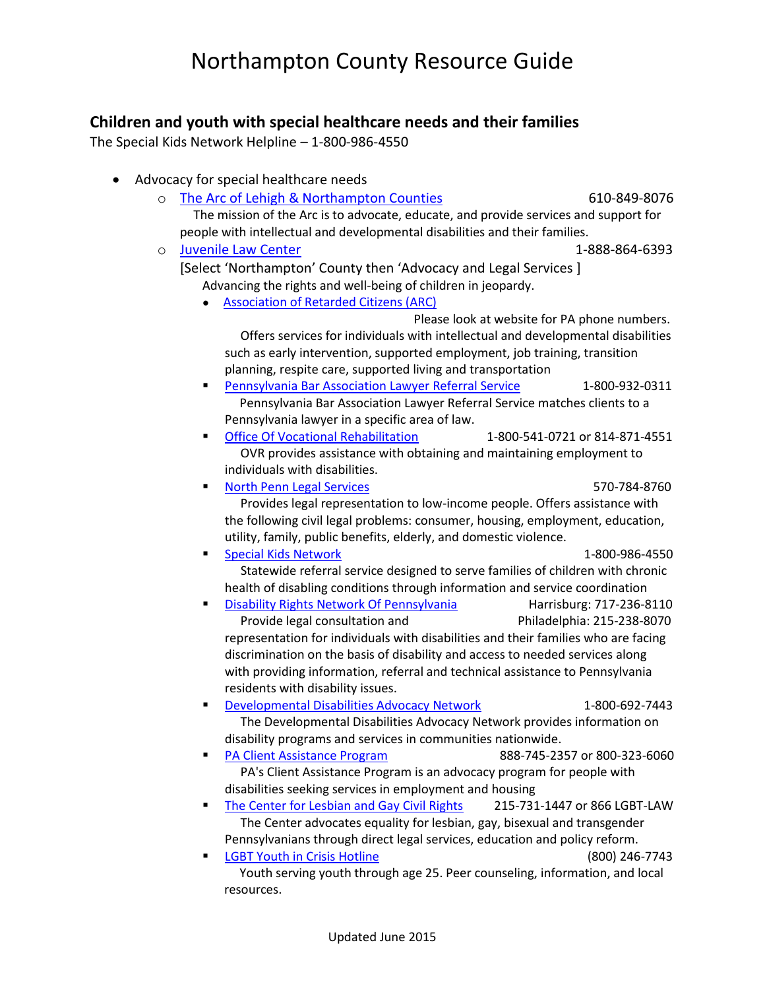### **Children and youth with special healthcare needs and their families**

The Special Kids Network Helpline – 1-800-986-4550

| Advocacy for special healthcare needs                                                                                    |                                              |  |  |  |
|--------------------------------------------------------------------------------------------------------------------------|----------------------------------------------|--|--|--|
| The Arc of Lehigh & Northampton Counties<br>$\circ$                                                                      | 610-849-8076                                 |  |  |  |
| The mission of the Arc is to advocate, educate, and provide services and support for                                     |                                              |  |  |  |
| people with intellectual and developmental disabilities and their families.                                              |                                              |  |  |  |
| <b>Juvenile Law Center</b><br>$\circ$                                                                                    | 1-888-864-6393                               |  |  |  |
| [Select 'Northampton' County then 'Advocacy and Legal Services]                                                          |                                              |  |  |  |
| Advancing the rights and well-being of children in jeopardy.                                                             |                                              |  |  |  |
| <b>Association of Retarded Citizens (ARC)</b>                                                                            |                                              |  |  |  |
|                                                                                                                          | Please look at website for PA phone numbers. |  |  |  |
| Offers services for individuals with intellectual and developmental disabilities                                         |                                              |  |  |  |
| such as early intervention, supported employment, job training, transition                                               |                                              |  |  |  |
| planning, respite care, supported living and transportation<br>Pennsylvania Bar Association Lawyer Referral Service<br>٠ | 1-800-932-0311                               |  |  |  |
| Pennsylvania Bar Association Lawyer Referral Service matches clients to a                                                |                                              |  |  |  |
| Pennsylvania lawyer in a specific area of law.                                                                           |                                              |  |  |  |
| <b>Office Of Vocational Rehabilitation</b><br>٠                                                                          | 1-800-541-0721 or 814-871-4551               |  |  |  |
| OVR provides assistance with obtaining and maintaining employment to                                                     |                                              |  |  |  |
| individuals with disabilities.                                                                                           |                                              |  |  |  |
| <b>North Penn Legal Services</b><br>$\blacksquare$                                                                       | 570-784-8760                                 |  |  |  |
| Provides legal representation to low-income people. Offers assistance with                                               |                                              |  |  |  |
| the following civil legal problems: consumer, housing, employment, education,                                            |                                              |  |  |  |
| utility, family, public benefits, elderly, and domestic violence.                                                        |                                              |  |  |  |
| <b>Special Kids Network</b><br>٠<br>Statewide referral service designed to serve families of children with chronic       | 1-800-986-4550                               |  |  |  |
| health of disabling conditions through information and service coordination                                              |                                              |  |  |  |
| Disability Rights Network Of Pennsylvania<br>٠                                                                           | Harrisburg: 717-236-8110                     |  |  |  |
| Provide legal consultation and                                                                                           | Philadelphia: 215-238-8070                   |  |  |  |
| representation for individuals with disabilities and their families who are facing                                       |                                              |  |  |  |
| discrimination on the basis of disability and access to needed services along                                            |                                              |  |  |  |
| with providing information, referral and technical assistance to Pennsylvania                                            |                                              |  |  |  |
| residents with disability issues.                                                                                        |                                              |  |  |  |
| <b>Developmental Disabilities Advocacy Network</b><br>٠                                                                  | 1-800-692-7443                               |  |  |  |
| The Developmental Disabilities Advocacy Network provides information on                                                  |                                              |  |  |  |
| disability programs and services in communities nationwide.<br><b>PA Client Assistance Program</b>                       | 888-745-2357 or 800-323-6060                 |  |  |  |
| PA's Client Assistance Program is an advocacy program for people with                                                    |                                              |  |  |  |
| disabilities seeking services in employment and housing                                                                  |                                              |  |  |  |
| The Center for Lesbian and Gay Civil Rights<br>215-731-1447 or 866 LGBT-LAW<br>٠                                         |                                              |  |  |  |
| The Center advocates equality for lesbian, gay, bisexual and transgender                                                 |                                              |  |  |  |
| Pennsylvanians through direct legal services, education and policy reform.                                               |                                              |  |  |  |
| <b>LGBT Youth in Crisis Hotline</b><br>٠                                                                                 | (800) 246-7743                               |  |  |  |
| Youth serving youth through age 25. Peer counseling, information, and local                                              |                                              |  |  |  |
| resources.                                                                                                               |                                              |  |  |  |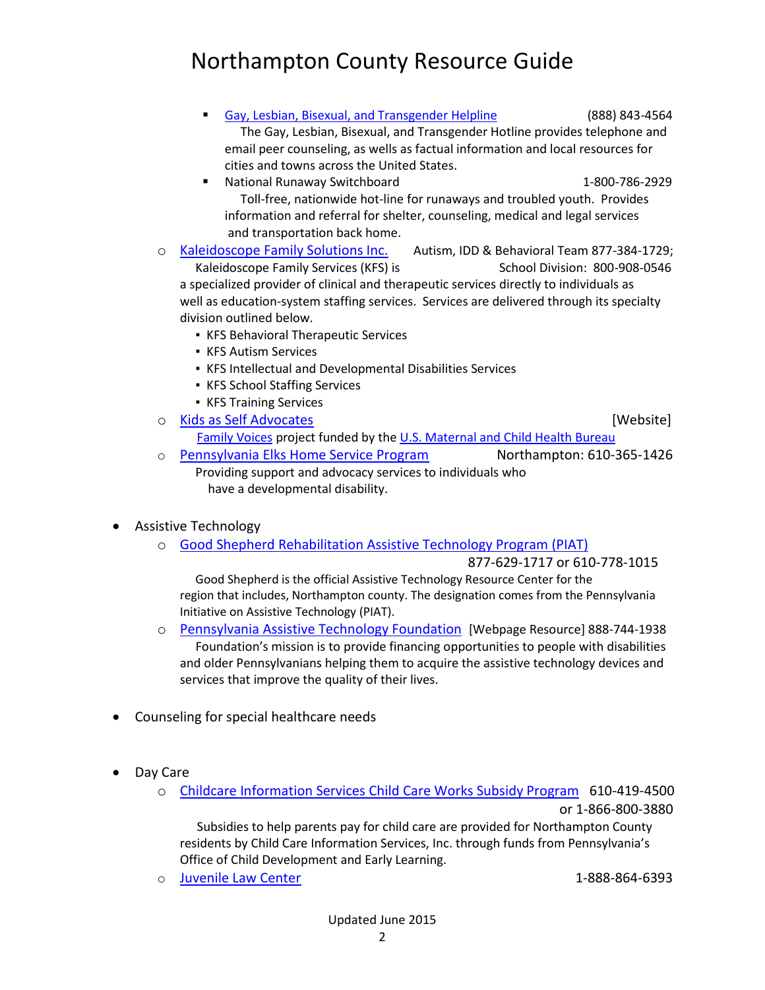[Gay, Lesbian, Bisexual, and Transgender Helpline](http://www.jlc.org/resources/county-resource-guide/adams/gay-lesbian-bisexual-and-transgender-helpline?state=northampton) (888) 843-4564 The Gay, Lesbian, Bisexual, and Transgender Hotline provides telephone and email peer counseling, as wells as factual information and local resources for cities and towns across the United States.

- National Runaway Switchboard 1-800-786-2929 Toll-free, nationwide hot-line for runaways and troubled youth. Provides information and referral for shelter, counseling, medical and legal services and transportation back home.
- o [Kaleidoscope Family Solutions Inc.](http://kfamilysolutions.org/services/) Autism, IDD & Behavioral Team 877-384-1729; Kaleidoscope Family Services (KFS) is School Division: 800-908-0546 a specialized provider of clinical and therapeutic services directly to individuals as well as education-system staffing services. Services are delivered through its specialty division outlined below.
	- **EXECT:** KFS Behavioral Therapeutic Services
	- KFS Autism Services
	- KFS Intellectual and Developmental Disabilities Services
	- KFS School Staffing Services
	- KFS Training Services

o [Kids as Self Advocates](http://www.fvkasa.org/index.php) [Website]

- [Family Voices](http://www.familyvoices.org/) project funded by the [U.S. Maternal and Child Health Bureau](http://mchb.hrsa.gov/)
- o [Pennsylvania Elks Home Service Program](http://www.paelkshomeservice.org/index.php) Northampton: 610-365-1426 Providing support and advocacy services to individuals who have a developmental disability.
- Assistive Technology
	- o [Good Shepherd Rehabilitation Assistive Technology Program \(PIAT\)](http://www.goodshepherdrehab.org/services/neurological-rehabilitation-neurorehab/technology/assistive-devices-assistive-technology)

877-629-1717 or 610-778-1015

 Good Shepherd is the official Assistive Technology Resource Center for the region that includes, Northampton county. The designation comes from the Pennsylvania Initiative on Assistive Technology (PIAT).

- o [Pennsylvania Assistive Technology Foundation](http://patf.us/) [Webpage Resource] 888-744-1938 Foundation's mission is to provide financing opportunities to people with disabilities and older Pennsylvanians helping them to acquire the assistive technology devices and services that improve the quality of their lives.
- Counseling for special healthcare needs
- Day Care
	- o [Childcare Information Services Child Care Works Subsidy Program](http://www.ccisinc.org/categories/child-care-subsidy.html) 610-419-4500 or 1-866-800-3880

 Subsidies to help parents pay for child care are provided for Northampton County residents by Child Care Information Services, Inc. through funds from Pennsylvania's Office of Child Development and Early Learning.

o [Juvenile Law Center](http://www.jlc.org/resources/county-resource-guide) 1-888-864-6393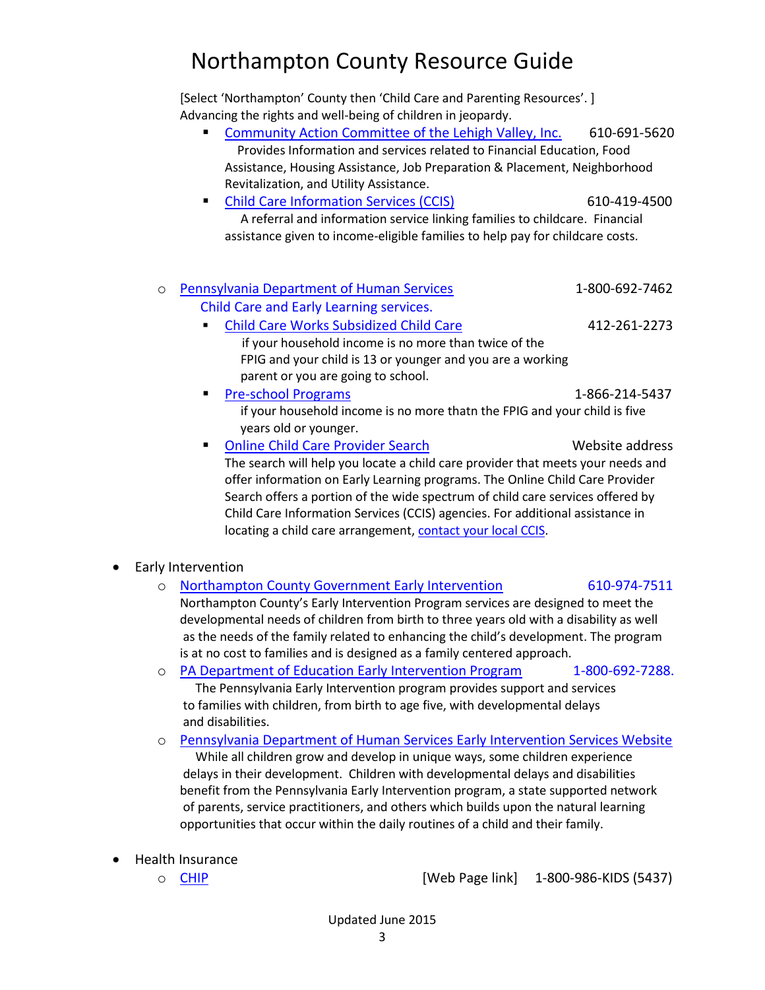[Select 'Northampton' County then 'Child Care and Parenting Resources'. ] Advancing the rights and well-being of children in jeopardy.

- [Community Action Committee of the Lehigh Valley, Inc.](http://jlc.org/resources/county-resource-guide/food-clothing-and-financial-resources/food/community-action-committe?state=northampton) 610-691-5620 Provides Information and services related to Financial Education, Food Assistance, Housing Assistance, Job Preparation & Placement, Neighborhood Revitalization, and Utility Assistance. [Child Care Information Services \(CCIS\)](http://jlc.org/resources/county-resource-guide/northampton/child-care-information-services-ccis?state=northampton) 610-419-4500 A referral and information service linking families to childcare. Financial assistance given to income-eligible families to help pay for childcare costs. o [Pennsylvania Department of Human Services](http://www.dpw.state.pa.us/forchildren/childcareearlylearning/index.htm) 1-800-692-7462 Child Care and Early Learning services. [Child Care Works Subsidized Child Care](http://www.dpw.state.pa.us/forchildren/childcareearlylearning/childcareworkssubsidizedchildcareprogram/index.htm) 412-261-2273 if your household income is no more than twice of the FPIG and your child is 13 or younger and you are a working parent or you are going to school. [Pre-school Programs](http://www.dpw.state.pa.us/forchildren/childcareearlylearning/headstart/S_000324) 1-866-214-5437 if your household income is no more thatn the FPIG and your child is five years old or younger. **[Online Child Care Provider Search](http://www.dpw.state.pa.us/searchforprovider/childcareprovidersearch/index.htm) Website address** The search will help you locate a child care provider that meets your needs and offer information on Early Learning programs. The Online Child Care Provider Search offers a portion of the wide spectrum of child care services offered by Child Care Information Services (CCIS) agencies. For additional assistance in locating a child care arrangement[, contact your local CCIS.](http://www.dpw.state.pa.us/helpfultelephonenumbers/childcareinformationservices/index.htm) • Early Intervention o [Northampton County Government Early Intervention](http://www.northamptoncounty.org/northampton/cwp/view.asp?Q=622114&northamptonNav=%7C) 610-974-7511
	- Northampton County's Early Intervention Program services are designed to meet the developmental needs of children from birth to three years old with a disability as well as the needs of the family related to enhancing the child's development. The program is at no cost to families and is designed as a family centered approach.
	- o [PA Department of Education Early Intervention Program](http://www.portal.state.pa.us/portal/server.pt/community/Early_Intervention/8710/) 1-800-692-7288. The Pennsylvania Early Intervention program provides support and services to families with children, from birth to age five, with developmental delays and disabilities.
	- o [Pennsylvania Department of Human Services Early Intervention Services Website](http://www.dpw.state.pa.us/forchildren/earlyinterventionservices/index.htm) While all children grow and develop in unique ways, some children experience delays in their development. Children with developmental delays and disabilities benefit from the Pennsylvania Early Intervention program, a state supported network of parents, service practitioners, and others which builds upon the natural learning opportunities that occur within the daily routines of a child and their family.
- Health Insurance
	-

 $\circ$  [CHIP](http://www.chipcoverspakids.com/)  $\circ$   $[Web$  Page link] 1-800-986-KIDS (5437)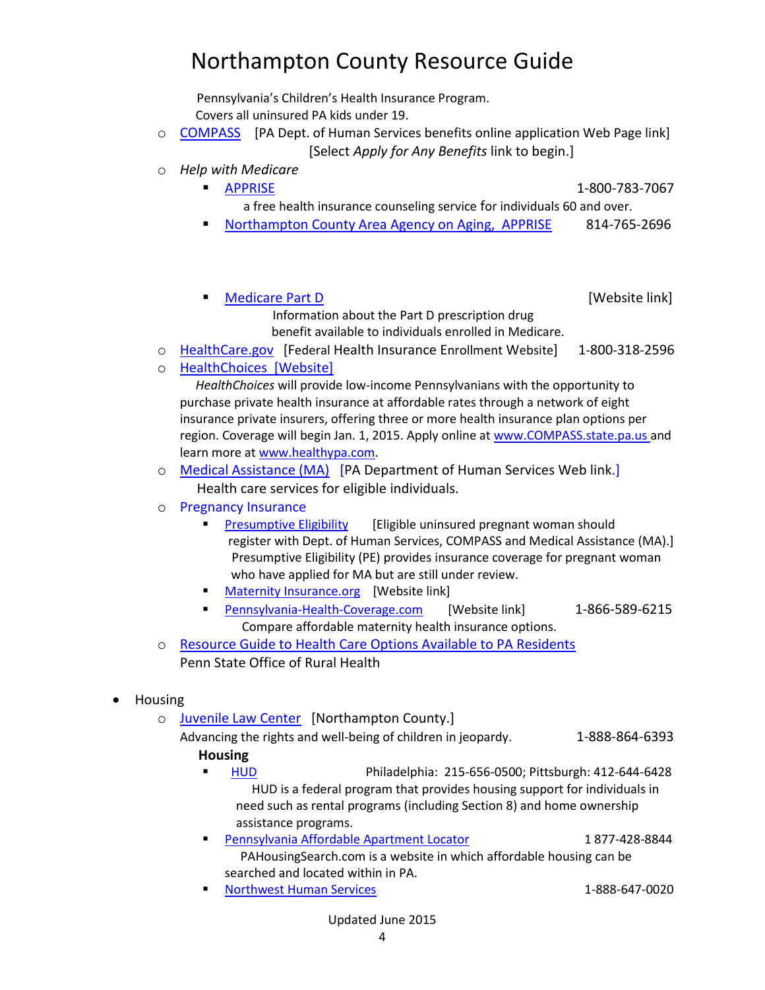Pennsylvania's Children's Health Insurance Program. Covers all uninsured PA kids under 19.

- o [COMPASS](https://www.compass.state.pa.us/compass.web/CMHOM.aspx) [PA Dept. of Human Services benefits online application Web Page link] [Select *Apply for Any Benefits* link to begin.]
- o *Help with Medicare*

[APPRISE](http://www.portal.state.pa.us/portal/server.pt?open=514&objID=616587&mode=2) 1-800-783-7067

- a free health insurance counseling service for individuals 60 and over.
- [Northampton County Area Agency on Aging, APPRISE](http://www.pda-apprise.org/meetings/meetinglist.php?MeetingType=PRESCRIPTION&CountyID=49) 814-765-2696

[Medicare Part D](http://www.alleghenycounty.us/dhs/medicarepartd.aspx) [Website link]

- Information about the Part D prescription drug benefit available to individuals enrolled in Medicare.
- o [HealthCare.gov](https://www.healthcare.gov/) [Federal Health Insurance Enrollment Website] 1-800-318-2596
- o [HealthChoices](http://www.healthypa.com/) [Website]

 *HealthChoices* will provide low-income Pennsylvanians with the opportunity to purchase private health insurance at affordable rates through a network of eight insurance private insurers, offering three or more health insurance plan options per region. Coverage will begin Jan. 1, 2015. Apply online at [www.COMPASS.state.pa.us](http://www.compass.state.pa.us/) and learn more at [www.healthypa.com.](http://www.healthypa.com/)

- o [Medical Assistance \(MA\)](http://www.dpw.state.pa.us/foradults/healthcaremedicalassistance/index.htm) [PA Department of Human Services Web link.] Health care services for eligible individuals.
- o Pregnancy Insurance
	- **[Presumptive Eligibility](http://www.dpw.state.pa.us/cs/groups/webcontent/documents/document/p_039688.pdf)** [Eligible uninsured pregnant woman should register with Dept. of Human Services, COMPASS and Medical Assistance (MA).] Presumptive Eligibility (PE) provides insurance coverage for pregnant woman who have applied for MA but are still under review.
	- [Maternity Insurance.org](http://www.maternity-insurance.org/what-if-i-am-pregnant-and-dont-have-health-insurance?as=hlvlpygj5njdzr1ju1npoiew) [Website link]
	- [Pennsylvania-Health-Coverage.com](http://www.pennsylvania-health-coverage.com/maternity?sid=SEM-H-AIW-G-4Zjq7ehl&c2=32268938927&c1=c&gclid=CPWZqKS2hr4CFYtDMgodS0cATQ) [Website link] 1-866-589-6215 Compare affordable maternity health insurance options.
- o [Resource Guide to Health Care Options Available to PA Residents](http://news.psu.edu/story/319753/2014/07/01/impact/resource-guide-health-care-options-available-pa-residents) Penn State Office of Rural Health
- Housing
	- o [Juvenile Law Center](http://www.jlc.org/resources/county-resource-guide/northampton) [Northampton County.]
		- Advancing the rights and well-being of children in jeopardy. 1-888-864-6393 **Housing**
			- [HUD](http://www.jlc.org/resources/county-resource-guide/adams/hud?state=clearfield) Philadelphia: 215-656-0500; Pittsburgh: 412-644-6428 HUD is a federal program that provides housing support for individuals in need such as rental programs (including Section 8) and home ownership assistance programs.
			- **[Pennsylvania Affordable Apartment Locator](http://www.jlc.org/resources/county-resource-guide/adams/pennsylvania-affordable-apartment-locator?state=clearfield) 1 877-428-8844**  PAHousingSearch.com is a website in which affordable housing can be searched and located within in PA.
				- [Northwest Human Services](http://www.jlc.org/resources/county-resource-guide/housing/nhs-0?state=clearfield) 1-888-647-0020

Updated June 2015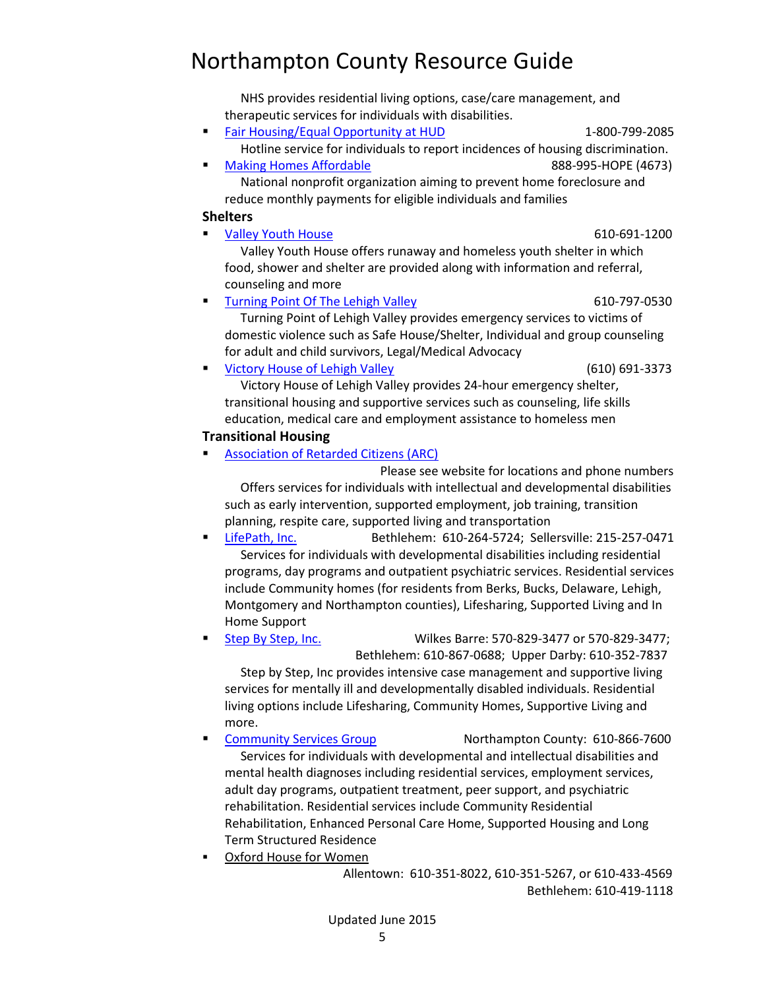# Updated June 2015

Northampton County Resource Guide

 NHS provides residential living options, case/care management, and therapeutic services for individuals with disabilities.

- [Fair Housing/Equal Opportunity at HUD](http://www.jlc.org/resources/county-resource-guide/adams/fair-housingequal-opportunity-hud?state=clearfield) 1-800-799-2085 Hotline service for individuals to report incidences of housing discrimination.
- [Making Homes Affordable](http://www.jlc.org/resources/county-resource-guide/adams/making-homes-affordable?state=clearfield) 888-995-HOPE (4673) National nonprofit organization aiming to prevent home foreclosure and reduce monthly payments for eligible individuals and families

#### **Shelters**

 [Valley Youth House](http://www.jlc.org/resources/county-resource-guide/housing/valley-youth-house?state=northampton) 610-691-1200 Valley Youth House offers runaway and homeless youth shelter in which

food, shower and shelter are provided along with information and referral, counseling and more

[Turning Point Of The Lehigh Valley](http://www.jlc.org/resources/county-resource-guide/housing/turning-point-lehigh-valley?state=northampton) 610-797-0530 Turning Point of Lehigh Valley provides emergency services to victims of

domestic violence such as Safe House/Shelter, Individual and group counseling for adult and child survivors, Legal/Medical Advocacy [Victory House of Lehigh Valley](http://www.jlc.org/resources/county-resource-guide/housing/victory-house-lehigh-valley?state=northampton) (610) 691-3373

 Victory House of Lehigh Valley provides 24-hour emergency shelter, transitional housing and supportive services such as counseling, life skills education, medical care and employment assistance to homeless men

### **Transitional Housing**

[Association of Retarded Citizens \(ARC\)](http://www.jlc.org/resources/county-resource-guide/adams/association-retarded-citizens-arc?state=northampton) 

 Please see website for locations and phone numbers Offers services for individuals with intellectual and developmental disabilities such as early intervention, supported employment, job training, transition planning, respite care, supported living and transportation

- [LifePath, Inc.](http://www.jlc.org/resources/county-resource-guide/housing/lifepath-inc?state=northampton) Bethlehem: 610-264-5724; Sellersville: 215-257-0471 Services for individuals with developmental disabilities including residential programs, day programs and outpatient psychiatric services. Residential services include Community homes (for residents from Berks, Bucks, Delaware, Lehigh, Montgomery and Northampton counties), Lifesharing, Supported Living and In Home Support
- [Step By Step, Inc.](http://www.jlc.org/resources/county-resource-guide/allegheny/step-step-inc?state=northampton) Wilkes Barre: 570-829-3477 or 570-829-3477; Bethlehem: 610-867-0688; Upper Darby: 610-352-7837

 Step by Step, Inc provides intensive case management and supportive living services for mentally ill and developmentally disabled individuals. Residential living options include Lifesharing, Community Homes, Supportive Living and more.

- [Community Services Group](http://www.jlc.org/resources/county-resource-guide/housing/community-services-group-2?state=northampton) Northampton County: 610-866-7600 Services for individuals with developmental and intellectual disabilities and mental health diagnoses including residential services, employment services, adult day programs, outpatient treatment, peer support, and psychiatric rehabilitation. Residential services include Community Residential Rehabilitation, Enhanced Personal Care Home, Supported Housing and Long Term Structured Residence
- [Oxford House for Women](http://www.jlc.org/resources/county-resource-guide/housing/oxford-house-women?state=northampton)

 Allentown: 610-351-8022, 610-351-5267, or 610-433-4569 Bethlehem: 610-419-1118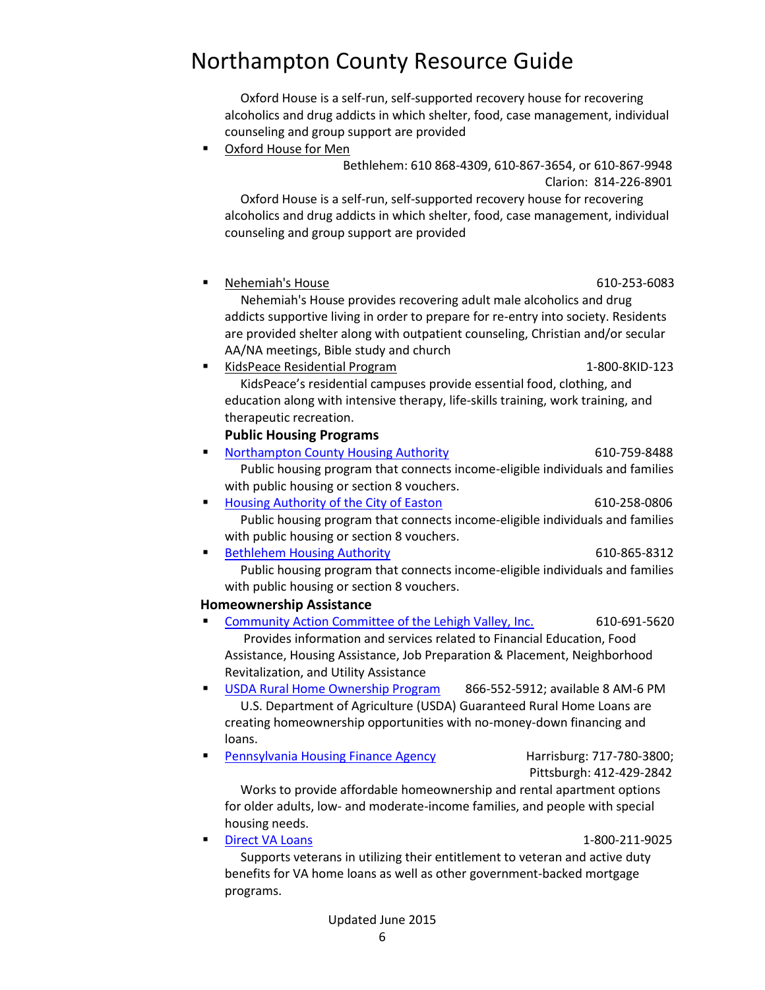Oxford House is a self-run, self-supported recovery house for recovering alcoholics and drug addicts in which shelter, food, case management, individual counseling and group support are provided

[Oxford House for Men](http://www.jlc.org/resources/county-resource-guide/clarion/oxford-house-men?state=northampton) 

 Bethlehem: 610 868-4309, 610-867-3654, or 610-867-9948 Clarion: 814-226-8901

 Oxford House is a self-run, self-supported recovery house for recovering alcoholics and drug addicts in which shelter, food, case management, individual counseling and group support are provided

[Nehemiah's House](http://www.jlc.org/resources/county-resource-guide/housing/nehemiahs-house?state=northampton) 610-253-6083

 Nehemiah's House provides recovering adult male alcoholics and drug addicts supportive living in order to prepare for re-entry into society. Residents are provided shelter along with outpatient counseling, Christian and/or secular AA/NA meetings, Bible study and church

[KidsPeace Residential Program](http://www.jlc.org/resources/county-resource-guide/housing/kidspeace-residential-program?state=northampton) 1-800-8KID-123 KidsPeace's residential campuses provide essential food, clothing, and education along with intensive therapy, life-skills training, work training, and therapeutic recreation.

#### **Public Housing Programs**

- [Northampton County Housing Authority](http://www.jlc.org/resources/county-resource-guide/housing/northampton-county-housing-authority?state=northampton) 610-759-8488 Public housing program that connects income-eligible individuals and families with public housing or section 8 vouchers.
- [Housing Authority of the City of Easton](http://www.jlc.org/resources/county-resource-guide/housing/housing-authority-city-easton?state=northampton) 610-258-0806 Public housing program that connects income-eligible individuals and families with public housing or section 8 vouchers.
- [Bethlehem Housing Authority](http://www.jlc.org/resources/county-resource-guide/housing/bethlehem-housing-authority?state=northampton) 610-865-8312 Public housing program that connects income-eligible individuals and families

#### with public housing or section 8 vouchers.  **Homeownership Assistance**

- [Community Action Committee of the Lehigh Valley, Inc.](http://www.jlc.org/resources/county-resource-guide/food-clothing-and-financial-resources/food/community-action-committe?state=northampton) 610-691-5620 Provides information and services related to Financial Education, Food Assistance, Housing Assistance, Job Preparation & Placement, Neighborhood Revitalization, and Utility Assistance
- [USDA Rural Home Ownership Program](http://www.jlc.org/resources/county-resource-guide/adams/usda-rural-home-ownership-program?state=northampton) 866-552-5912; available 8 AM-6 PM U.S. Department of Agriculture (USDA) Guaranteed Rural Home Loans are creating homeownership opportunities with no-money-down financing and loans.
- [Pennsylvania Housing Finance Agency](http://www.jlc.org/resources/county-resource-guide/adams/pennsylvania-housing-finance-agency?state=northampton) Harrisburg: 717-780-3800;

Pittsburgh: 412-429-2842

 Works to provide affordable homeownership and rental apartment options for older adults, low- and moderate-income families, and people with special housing needs.

#### [Direct VA Loans](http://www.jlc.org/resources/county-resource-guide/adams/direct-va-loans?state=northampton) 1-800-211-9025

 Supports veterans in utilizing their entitlement to veteran and active duty benefits for VA home loans as well as other government-backed mortgage programs.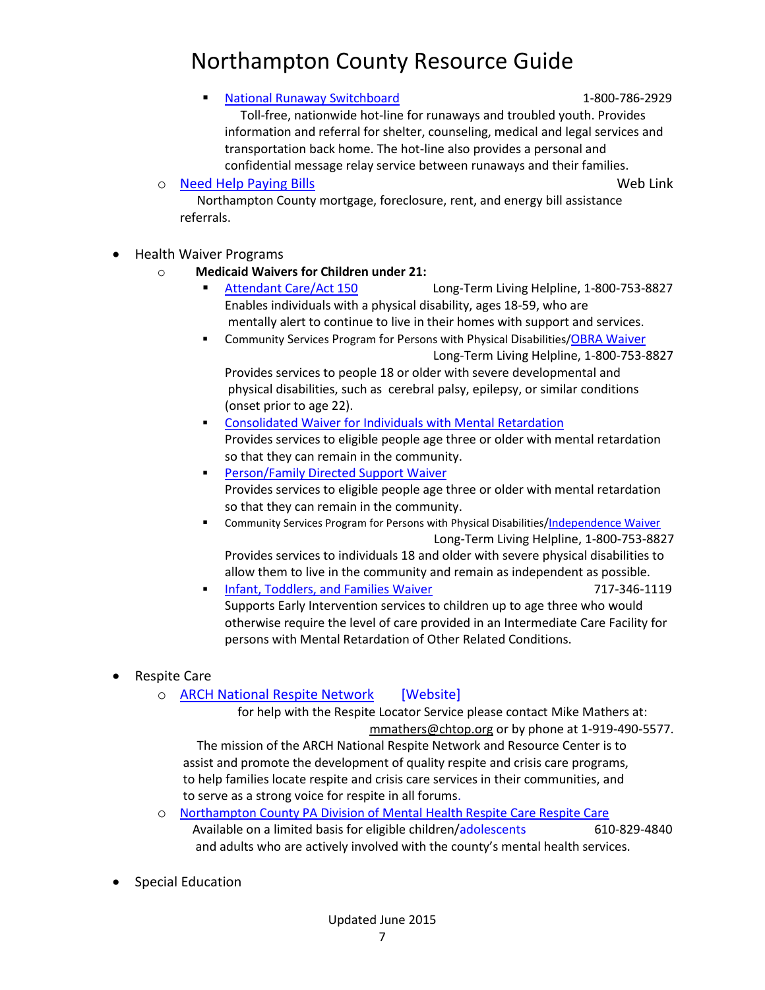#### [National Runaway Switchboard](http://www.jlc.org/resources/county-resource-guide/adams/national-runaway-switchboard?state=northampton) 1-800-786-2929

 Toll-free, nationwide hot-line for runaways and troubled youth. Provides information and referral for shelter, counseling, medical and legal services and transportation back home. The hot-line also provides a personal and confidential message relay service between runaways and their families.

o [Need Help Paying Bills](http://www.needhelppayingbills.com/html/northampton_county_assistance_.html) Web Link

 Northampton County mortgage, foreclosure, rent, and energy bill assistance referrals.

### Health Waiver Programs

- o **Medicaid Waivers for Children under 21:**
	- [Attendant Care/Act 150](http://www.dpw.state.pa.us/fordisabilityservices/attendantcare/attendantcareact150/index.htm) Long-Term Living Helpline, 1-800-753-8827 Enables individuals with a physical disability, ages 18-59, who are mentally alert to continue to live in their homes with support and services.
	- Community Services Program for Persons with Physical Disabilities/OBRA [Waiver](http://www.dpw.state.pa.us/fordisabilityservices/alternativestonursinghomes/obrawaiver/index.htm) Long-Term Living Helpline, 1-800-753-8827 Provides services to people 18 or older with severe developmental and

physical disabilities, such as cerebral palsy, epilepsy, or similar conditions (onset prior to age 22).

- [Consolidated Waiver for Individuals with Mental Retardation](http://www.dpw.state.pa.us/learnaboutdpw/waiverinformation/consolidatedwaiverforindividualswithintellectualdisabilities/index.htm)  Provides services to eligible people age three or older with mental retardation so that they can remain in the community.
- [Person/Family Directed Support Waiver](http://www.dpw.state.pa.us/learnaboutdpw/waiverinformation/personfamilydirectedsupportwaiver/index.htm)  Provides services to eligible people age three or older with mental retardation so that they can remain in the community.
- Community Services Program for Persons with Physical Disabilities[/Independence Waiver](http://www.dpw.state.pa.us/fordisabilityservices/alternativestonursinghomes/temp/independencewaiver/index.htm) Long-Term Living Helpline, 1-800-753-8827

Provides services to individuals 18 and older with severe physical disabilities to allow them to live in the community and remain as independent as possible.

- [Infant, Toddlers, and Families Waiver](http://www.dpw.state.pa.us/learnaboutdpw/waiverinformation/infanttoddlersandfamilieswaiver/index.htm) 717-346-1119 Supports Early Intervention services to children up to age three who would otherwise require the level of care provided in an Intermediate Care Facility for persons with Mental Retardation of Other Related Conditions.
- Respite Care
	- o [ARCH National Respite Network](http://archrespite.org/respite-locator-state-search/230-pennsylvania-search) [Website]

 for help with the Respite Locator Service please contact Mike Mathers at: [mmathers@chtop.org](mailto:mmathers@chtop.org) or by phone at 1-919-490-5577.

 The mission of the ARCH National Respite Network and Resource Center is to assist and promote the development of quality respite and crisis care programs, to help families locate respite and crisis care services in their communities, and to serve as a strong voice for respite in all forums.

- o [Northampton County PA Division of Mental Health Respite Care Respite Care](http://www.northamptoncounty.org/northampton/cwp/view.asp?Q=620679) Available on a limited basis for eligible children/adolescents 610-829-4840 and adults who are actively involved with the county's mental health services.
- Special Education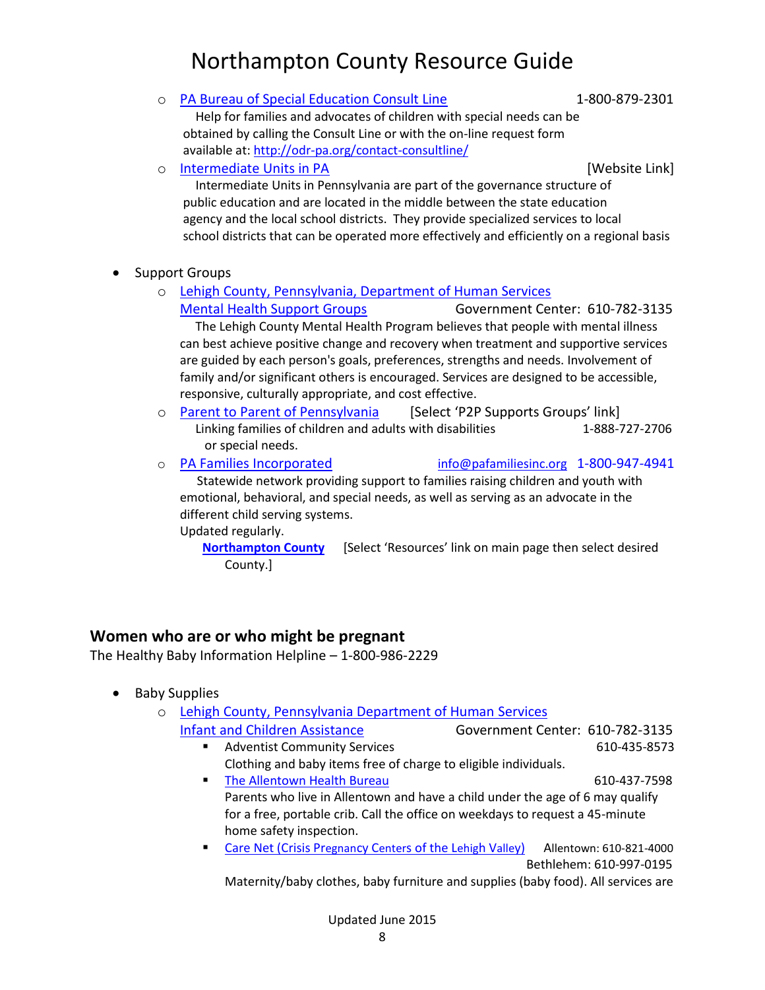o [PA Bureau of Special Education Consult Line](http://www.education.pa.gov/K-12/Special%20Education/Pages/Special-Education-in-PA---Consult-Line.aspx#.VZq2U2TD_AA) 1-800-879-2301 Help for families and advocates of children with special needs can be obtained by calling the Consult Line or with the on-line request form

available at:<http://odr-pa.org/contact-consultline/>

o [Intermediate Units in PA](https://paiu.org/ius.php) and the Contract of The Contract Contract (Website Link]

 Intermediate Units in Pennsylvania are part of the governance structure of public education and are located in the middle between the state education agency and the local school districts. They provide specialized services to local school districts that can be operated more effectively and efficiently on a regional basis

- Support Groups
	- o [Lehigh County, Pennsylvania, Department of Human Services](http://www.lehighcounty.org/Departments/HumanServices/MentalHealth/Resources/SupportGroups/tabid/791/Default.aspx)

[Mental Health Support Groups](http://www.lehighcounty.org/Departments/HumanServices/MentalHealth/Resources/SupportGroups/tabid/791/Default.aspx) Government Center: 610-782-3135 The Lehigh County Mental Health Program believes that people with mental illness can best achieve positive change and recovery when treatment and supportive services are guided by each person's goals, preferences, strengths and needs. Involvement of family and/or significant others is encouraged. Services are designed to be accessible, responsive, culturally appropriate, and cost effective.

- o [Parent to Parent of Pennsylvania](http://www.parenttoparent.org/) [Select 'P2P Supports Groups' link] Linking families of children and adults with disabilities 1-888-727-2706 or special needs.
- o [PA Families Incorporated](http://www.pafamiliesinc.org/) [info@pafamiliesinc.org](mailto:info@pafamiliesinc.org) 1-800-947-4941 Statewide network providing support to families raising children and youth with

emotional, behavioral, and special needs, as well as serving as an advocate in the different child serving systems.

Updated regularly.

**[Northampton County](http://pafamiliesinc.org/resources)** [Select 'Resources' link on main page then select desired County.]

### **Women who are or who might be pregnant**

The Healthy Baby Information Helpline – 1-800-986-2229

- Baby Supplies
	- o [Lehigh County, Pennsylvania Department of Human Services](http://www.lehighcounty.org/Departments/HumanServices/MentalHealth/Children/Assistance/InfantsChildren/tabid/757/Default.aspx)
		- [Infant and Children Assistance](http://www.lehighcounty.org/Departments/HumanServices/MentalHealth/Children/Assistance/InfantsChildren/tabid/757/Default.aspx) Government Center: 610-782-3135 **Adventist Community Services** 610-435-8573
			- Clothing and baby items free of charge to eligible individuals.
			- [The Allentown Health Bureau](http://www.allentownpa.gov/Government/DepartmentsBureaus/HealthBureau/tabid/74/Default.aspx) 610-437-7598 Parents who live in Allentown and have a child under the age of 6 may qualify for a free, portable crib. Call the office on weekdays to request a 45-minute home safety inspection.
			- [Care Net \(Crisis Pr](http://www.carenetlv.org/)egnancy Centers of the Lehigh Valley) Allentown: 610-821-4000 Bethlehem: 610-997-0195

Maternity/baby clothes, baby furniture and supplies (baby food). All services are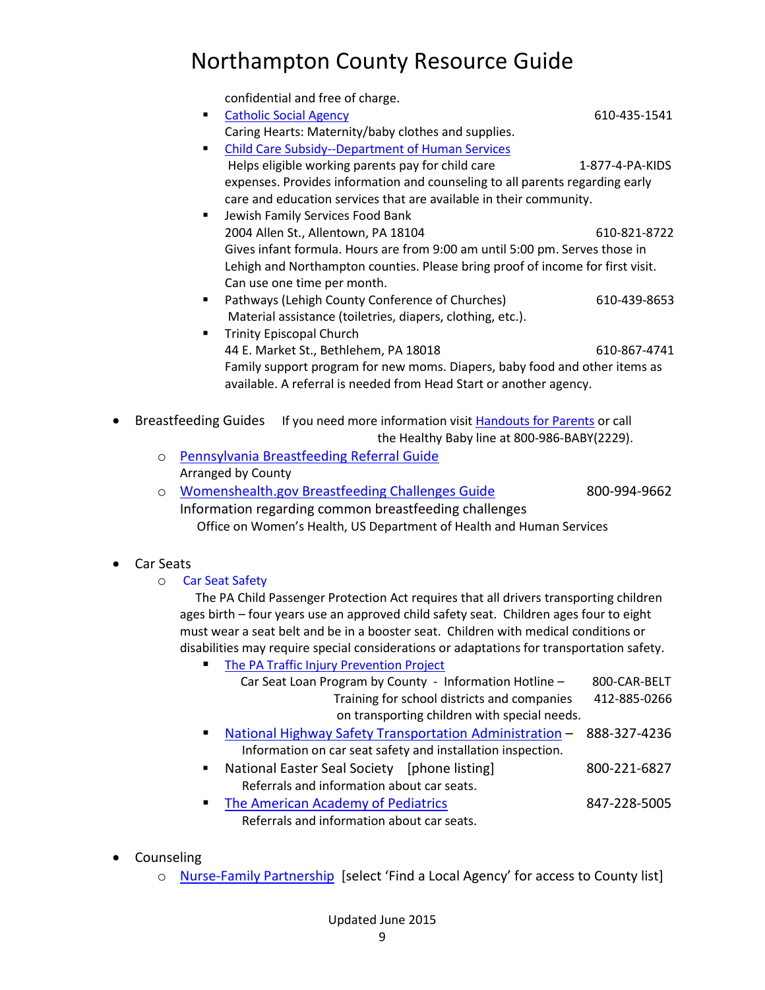|   |                                                                                                                                                                                                                                                                                                                                                                                                                 | confidential and free of charge.<br><b>Catholic Social Agency</b><br>П<br>Caring Hearts: Maternity/baby clothes and supplies.<br><b>Child Care Subsidy--Department of Human Services</b><br>٠<br>Helps eligible working parents pay for child care<br>expenses. Provides information and counseling to all parents regarding early<br>care and education services that are available in their community.<br>Jewish Family Services Food Bank<br>٠<br>2004 Allen St., Allentown, PA 18104<br>Gives infant formula. Hours are from 9:00 am until 5:00 pm. Serves those in<br>Lehigh and Northampton counties. Please bring proof of income for first visit.<br>Can use one time per month. | 610-435-1541<br>1-877-4-PA-KIDS<br>610-821-8722 |  |
|---|-----------------------------------------------------------------------------------------------------------------------------------------------------------------------------------------------------------------------------------------------------------------------------------------------------------------------------------------------------------------------------------------------------------------|------------------------------------------------------------------------------------------------------------------------------------------------------------------------------------------------------------------------------------------------------------------------------------------------------------------------------------------------------------------------------------------------------------------------------------------------------------------------------------------------------------------------------------------------------------------------------------------------------------------------------------------------------------------------------------------|-------------------------------------------------|--|
|   |                                                                                                                                                                                                                                                                                                                                                                                                                 | Pathways (Lehigh County Conference of Churches)<br>٠<br>Material assistance (toiletries, diapers, clothing, etc.).<br><b>Trinity Episcopal Church</b><br>٠                                                                                                                                                                                                                                                                                                                                                                                                                                                                                                                               | 610-439-8653                                    |  |
|   |                                                                                                                                                                                                                                                                                                                                                                                                                 | 44 E. Market St., Bethlehem, PA 18018<br>Family support program for new moms. Diapers, baby food and other items as<br>available. A referral is needed from Head Start or another agency.                                                                                                                                                                                                                                                                                                                                                                                                                                                                                                | 610-867-4741                                    |  |
| ٠ | <b>Breastfeeding Guides</b><br>If you need more information visit Handouts for Parents or call<br>the Healthy Baby line at 800-986-BABY(2229).                                                                                                                                                                                                                                                                  |                                                                                                                                                                                                                                                                                                                                                                                                                                                                                                                                                                                                                                                                                          |                                                 |  |
|   | $\circ$                                                                                                                                                                                                                                                                                                                                                                                                         | Pennsylvania Breastfeeding Referral Guide                                                                                                                                                                                                                                                                                                                                                                                                                                                                                                                                                                                                                                                |                                                 |  |
|   | Arranged by County                                                                                                                                                                                                                                                                                                                                                                                              |                                                                                                                                                                                                                                                                                                                                                                                                                                                                                                                                                                                                                                                                                          |                                                 |  |
|   | $\circ$                                                                                                                                                                                                                                                                                                                                                                                                         | <b>Womenshealth.gov Breastfeeding Challenges Guide</b>                                                                                                                                                                                                                                                                                                                                                                                                                                                                                                                                                                                                                                   | 800-994-9662                                    |  |
|   |                                                                                                                                                                                                                                                                                                                                                                                                                 | Information regarding common breastfeeding challenges<br>Office on Women's Health, US Department of Health and Human Services                                                                                                                                                                                                                                                                                                                                                                                                                                                                                                                                                            |                                                 |  |
|   | Car Seats                                                                                                                                                                                                                                                                                                                                                                                                       |                                                                                                                                                                                                                                                                                                                                                                                                                                                                                                                                                                                                                                                                                          |                                                 |  |
|   | O                                                                                                                                                                                                                                                                                                                                                                                                               | <b>Car Seat Safety</b>                                                                                                                                                                                                                                                                                                                                                                                                                                                                                                                                                                                                                                                                   |                                                 |  |
|   | The PA Child Passenger Protection Act requires that all drivers transporting children<br>ages birth - four years use an approved child safety seat. Children ages four to eight<br>must wear a seat belt and be in a booster seat. Children with medical conditions or<br>disabilities may require special considerations or adaptations for transportation safety.<br>The PA Traffic Injury Prevention Project |                                                                                                                                                                                                                                                                                                                                                                                                                                                                                                                                                                                                                                                                                          |                                                 |  |
|   |                                                                                                                                                                                                                                                                                                                                                                                                                 | Car Seat Loan Program by County - Information Hotline -<br>Training for school districts and companies<br>on transporting children with special needs.                                                                                                                                                                                                                                                                                                                                                                                                                                                                                                                                   | 800-CAR-BELT<br>412-885-0266                    |  |
|   |                                                                                                                                                                                                                                                                                                                                                                                                                 | <b>National Highway Safety Transportation Administration -</b><br>п<br>Information on car seat safety and installation inspection.                                                                                                                                                                                                                                                                                                                                                                                                                                                                                                                                                       | 888-327-4236                                    |  |
|   |                                                                                                                                                                                                                                                                                                                                                                                                                 | National Easter Seal Society [phone listing]<br>٠<br>Referrals and information about car seats.                                                                                                                                                                                                                                                                                                                                                                                                                                                                                                                                                                                          | 800-221-6827                                    |  |
|   |                                                                                                                                                                                                                                                                                                                                                                                                                 | The American Academy of Pediatrics<br>п<br>Referrals and information about car seats.                                                                                                                                                                                                                                                                                                                                                                                                                                                                                                                                                                                                    | 847-228-5005                                    |  |

- Counseling
	- o [Nurse-Family Partnership](http://www.nursefamilypartnership.org/Locations/Pennsylvania) [select 'Find a Local Agency' for access to County list]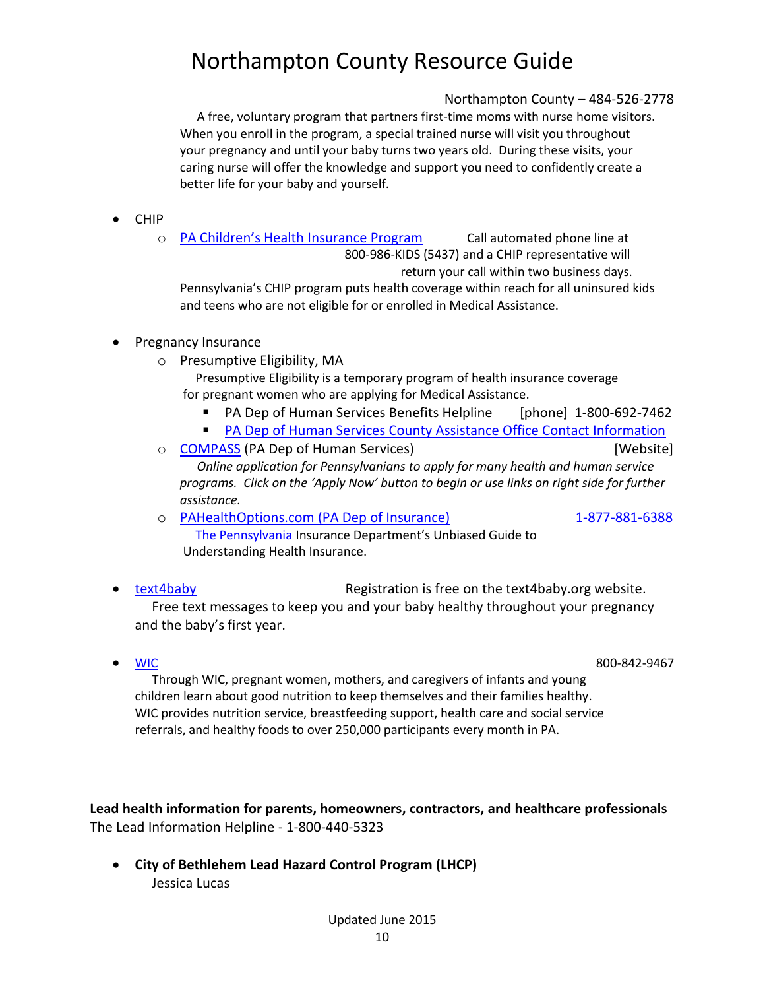### Northampton County – 484-526-2778

 A free, voluntary program that partners first-time moms with nurse home visitors. When you enroll in the program, a special trained nurse will visit you throughout your pregnancy and until your baby turns two years old. During these visits, your caring nurse will offer the knowledge and support you need to confidently create a better life for your baby and yourself.

- CHIP
	- o [PA Children's Health I](http://www.chipcoverspakids.com/)nsurance Program Call automated phone line at 800-986-KIDS (5437) and a CHIP representative will return your call within two business days. Pennsylvania's CHIP program puts health coverage within reach for all uninsured kids

and teens who are not eligible for or enrolled in Medical Assistance.

### • Pregnancy Insurance

o Presumptive Eligibility, MA

 Presumptive Eligibility is a temporary program of health insurance coverage for pregnant women who are applying for Medical Assistance.

- [PA Dep of Human Services](http://www.verizon.com/foryourhome/ContactUs/ContactUsPhoneState.aspx?CBOState=NY) Benefits Helpline [phone] 1-800-692-7462
- **[PA Dep of Human Services County Assistance Office Contact Information](http://www.dpw.state.pa.us/findfacilsandlocs/countyassistanceofficecontactinformation/index.htm)**
- o [COMPASS](https://www.compass.state.pa.us/compass.web/CMHOM.aspx) (PA Dep of Human Services) [Website] *Online application for Pennsylvanians to apply for many health and human service programs. Click on the 'Apply Now' button to begin or use links on right side for further assistance.*
- o [PAHealthOptions.com \(PA Dep of Insurance\)](http://www.pahealthoptions.com/) 1-877-881-6388 The Pennsylvania Insurance Department's Unbiased Guide to Understanding Health Insurance.
- [text4baby](https://text4baby.org/) Registration is free on the text4baby.org website. Free text messages to keep you and your baby healthy throughout your pregnancy and the baby's first year.
- 

• <u>WIC</u> 800-842-9467

 Through WIC, pregnant women, mothers, and caregivers of infants and young children learn about good nutrition to keep themselves and their families healthy. WIC provides nutrition service, breastfeeding support, health care and social service referrals, and healthy foods to over 250,000 participants every month in PA.

**Lead health information for parents, homeowners, contractors, and healthcare professionals** The Lead Information Helpline - 1-800-440-5323

 **City of Bethlehem Lead Hazard Control Program (LHCP)** Jessica Lucas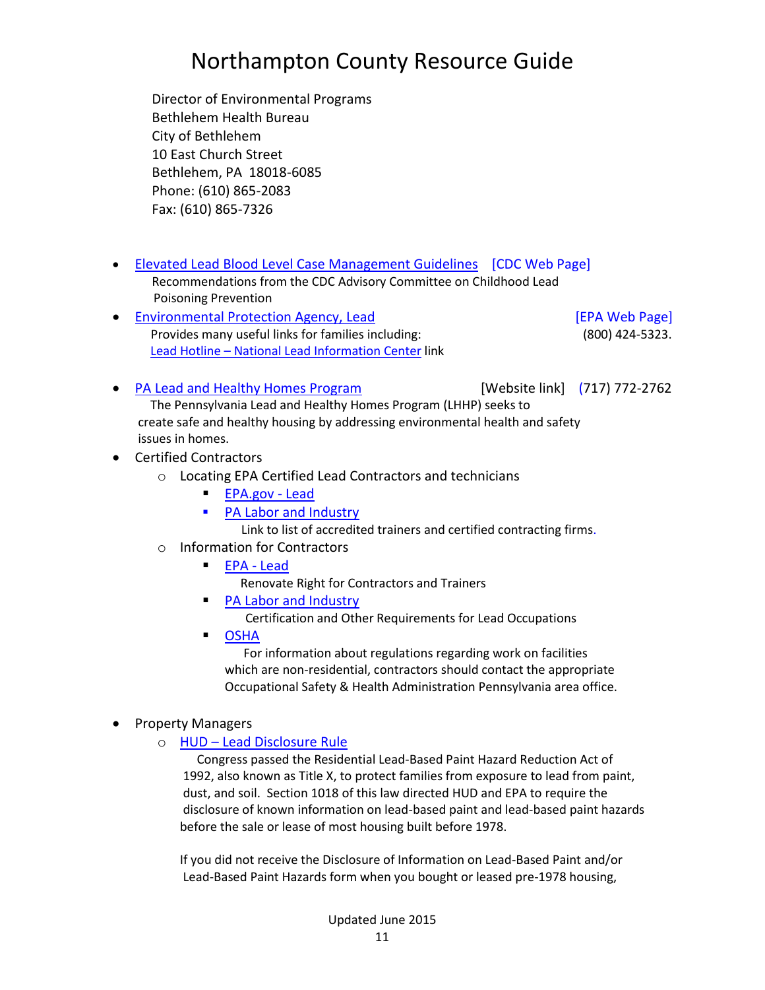Director of Environmental Programs Bethlehem Health Bureau City of Bethlehem 10 East Church Street Bethlehem, PA 18018-6085 Phone: (610) 865-2083 Fax: (610) 865-7326

- Elevated Lead Blood [Level Case Management Guidelines](http://www.cdc.gov/nceh/lead/CaseManagement/caseManage_main.htm) [CDC Web Page] Recommendations from the CDC Advisory Committee on Childhood Lead Poisoning Prevention
- [Environmental Protection Agency, Lead](http://www2.epa.gov/lead) [EPA Web Page] Provides many useful links for families including: (800) 424-5323. Lead Hotline – [National Lead Information Center](http://www.portal.health.state.pa.us/portal/server.pt/community/immunizations/14141/immunizations/557976) link

• [PA Lead and Healthy Homes Program](http://www.portal.state.pa.us/portal/server.pt/community/lead_poisoning_prevention___control/14175/healthy_homes_foster_care_program_(hhfcp)/600352) [Website link] (717) 772-2762 The Pennsylvania Lead and Healthy Homes Program (LHHP) seeks to create safe and healthy housing by addressing environmental health and safety issues in homes.

#### Certified Contractors

- o Locating EPA Certified Lead Contractors and technicians
	- [EPA.gov](http://cfpub.epa.gov/flpp/searchrrp_firm.htm) Lead
	- [PA Labor and Industry](http://www.portal.state.pa.us/portal/server.pt?open=514&objID=553491&mode=2)
		- [Link to list of accredited trainers and certified contracting firms.](http://www.portal.state.pa.us/portal/server.pt?open=514&objID=553491&mode=2)
- o Information for Contractors
	- [EPA -](http://www2.epa.gov/lead) Lead
		- Renovate Right for Contractors and Trainers
	- [PA Labor and Industry](http://www.portal.state.pa.us/portal/server.pt?open=514&objID=553491&mode=2)
		- Certification and Other Requirements for Lead Occupations
	- [OSHA](https://www.osha.gov/oshdir/pa.html)

 For information about regulations regarding work on facilities which are non-residential, contractors should contact the appropriate Occupational Safety & Health Administration Pennsylvania area office.

#### • Property Managers

o HUD – [Lead Disclosure Rule](http://portal.hud.gov/hudportal/HUD?src=/program_offices/healthy_homes/enforcement/disclosure)

 Congress passed the Residential Lead-Based Paint Hazard Reduction Act of 1992, also known as Title X, to protect families from exposure to lead from paint, dust, and soil. Section 1018 of this law directed HUD and EPA to require the disclosure of known information on lead-based paint and lead-based paint hazards before the sale or lease of most housing built before 1978.

If you did not receive the Disclosure of Information on Lead-Based Paint and/or Lead-Based Paint Hazards form when you bought or leased pre-1978 housing,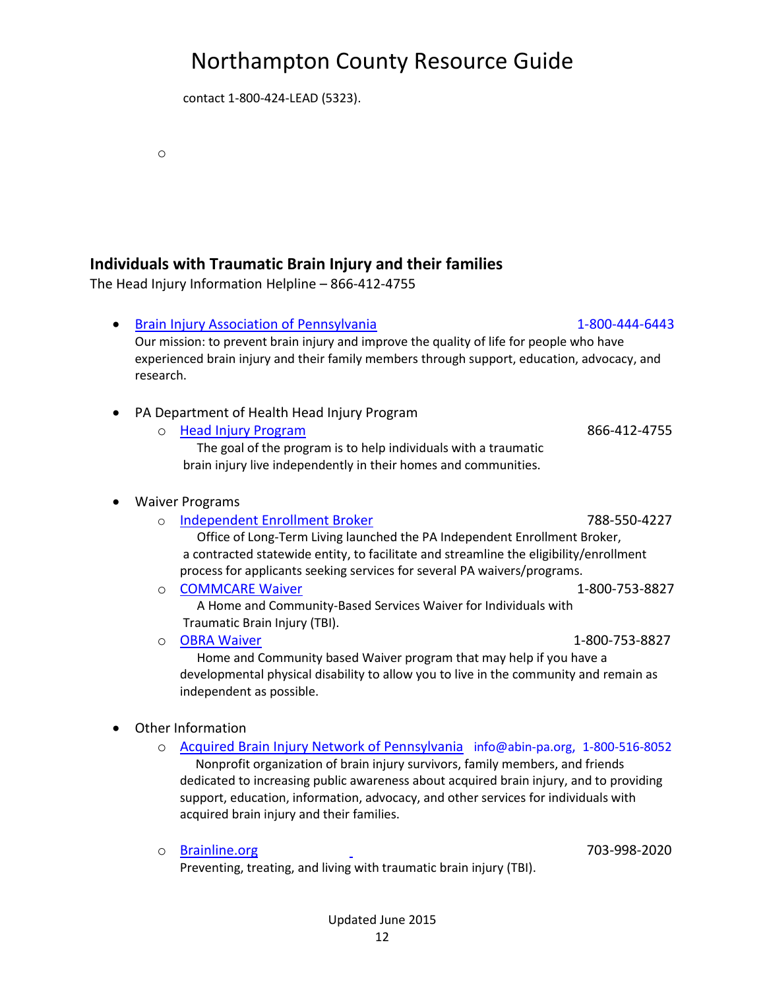contact 1-800-424-LEAD (5323).

### **Individuals with Traumatic Brain Injury and their families**

The Head Injury Information Helpline – 866-412-4755

- [Brain Injury Association of Pennsylvania](http://www.biapa.org/site/c.iuLZJbMMKrH/b.1760731/k.BD3E/Home.htm) 1-800-444-6443 Our mission: to prevent brain injury and improve the quality of life for people who have experienced brain injury and their family members through support, education, advocacy, and research.
- PA Department of Health Head Injury Program
	- o [Head Injury Program](http://www.portal.state.pa.us/portal/server.pt/community/head_injury_program/14185) 866-412-4755

 The goal of the program is to help individuals with a traumatic brain injury live independently in their homes and communities.

#### Waiver Programs

o

o [Independent Enrollment Broker](http://www.dpw.state.pa.us/dpworganization/officeoflongtermliving/ieb/index.htm) 788-550-4227

 Office of Long-Term Living launched the PA Independent Enrollment Broker, a contracted statewide entity, to facilitate and streamline the eligibility/enrollment process for applicants seeking services for several PA waivers/programs.

o [COMMCARE Waiver](http://www.dpw.state.pa.us/fordisabilityservices/alternativestonursinghomes/commcarewaiver/index.htm) 1-800-753-8827 A Home and Community-Based Services Waiver for Individuals with

Traumatic Brain Injury (TBI).

o [OBRA Waiver](http://www.dpw.state.pa.us/fordisabilityservices/alternativestonursinghomes/obrawaiver/index.htm) 1-800-753-8827

 Home and Community based Waiver program that may help if you have a developmental physical disability to allow you to live in the community and remain as independent as possible.

#### Other Information

o [Acquired Brain Injury Network of Pennsylvania](http://www.abin-pa.org/) info@abin-pa.org, 1-800-516-8052 Nonprofit organization of brain injury survivors, family members, and friends dedicated to increasing public awareness about acquired brain injury, and to providing support, education, information, advocacy, and other services for individuals with acquired brain injury and their families.

Preventing, treating, and living with traumatic brain injury (TBI).

o [Brainline.org](http://www.brainline.org/) 703-998-2020